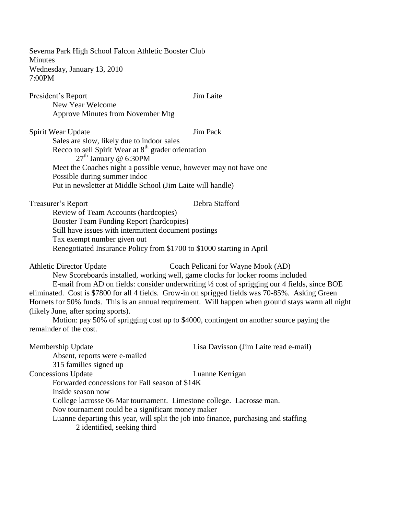Severna Park High School Falcon Athletic Booster Club **Minutes** Wednesday, January 13, 2010 7:00PM President's Report Jim Laite New Year Welcome Approve Minutes from November Mtg Spirit Wear Update Jim Pack Sales are slow, likely due to indoor sales Recco to sell Spirit Wear at  $8<sup>th</sup>$  grader orientation  $27<sup>th</sup>$  January @ 6:30PM Meet the Coaches night a possible venue, however may not have one Possible during summer indoc Put in newsletter at Middle School (Jim Laite will handle) Treasurer's Report Debra Stafford Review of Team Accounts (hardcopies) Booster Team Funding Report (hardcopies) Still have issues with intermittent document postings Tax exempt number given out Renegotiated Insurance Policy from \$1700 to \$1000 starting in April Athletic Director Update Coach Pelicani for Wayne Mook (AD) New Scoreboards installed, working well, game clocks for locker rooms included E-mail from AD on fields: consider underwriting ½ cost of sprigging our 4 fields, since BOE eliminated. Cost is \$7800 for all 4 fields. Grow-in on sprigged fields was 70-85%. Asking Green Hornets for 50% funds. This is an annual requirement. Will happen when ground stays warm all night (likely June, after spring sports). Motion: pay 50% of sprigging cost up to \$4000, contingent on another source paying the remainder of the cost. Membership Update Lisa Davisson (Jim Laite read e-mail) Absent, reports were e-mailed 315 families signed up **Concessions Update** Luanne Kerrigan Forwarded concessions for Fall season of \$14K Inside season now College lacrosse 06 Mar tournament. Limestone college. Lacrosse man. Nov tournament could be a significant money maker Luanne departing this year, will split the job into finance, purchasing and staffing 2 identified, seeking third